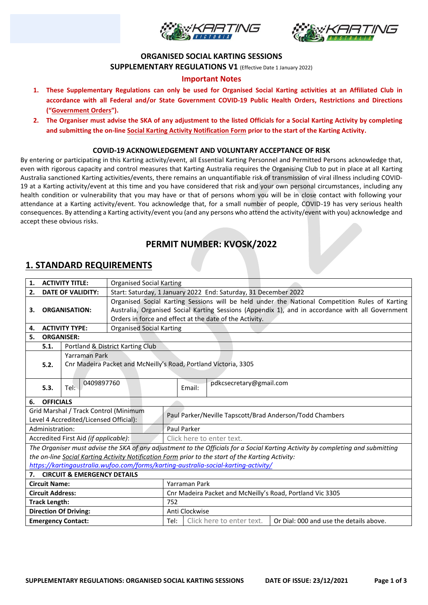



### **ORGANISED SOCIAL KARTING SESSIONS**

**SUPPLEMENTARY REGULATIONS V1** (Effective Date 1 January 2022)

## **Important Notes**

- **1. These Supplementary Regulations can only be used for Organised Social Karting activities at an Affiliated Club in accordance with all Federal and/or State Government COVID-19 Public Health Orders, Restrictions and Directions ("Government Orders").**
- **2. The Organiser must advise the SKA of any adjustment to the listed Officials for a Social Karting Activity by completing and submitting the on-line Social Karting Activity Notification Form prior to the start of the Karting Activity.**

### **COVID-19 ACKNOWLEDGEMENT AND VOLUNTARY ACCEPTANCE OF RISK**

By entering or participating in this Karting activity/event, all Essential Karting Personnel and Permitted Persons acknowledge that, even with rigorous capacity and control measures that Karting Australia requires the Organising Club to put in place at all Karting Australia sanctioned Karting activities/events, there remains an unquantifiable risk of transmission of viral illness including COVID-19 at a Karting activity/event at this time and you have considered that risk and your own personal circumstances, including any health condition or vulnerability that you may have or that of persons whom you will be in close contact with following your attendance at a Karting activity/event. You acknowledge that, for a small number of people, COVID-19 has very serious health consequences. By attending a Karting activity/event you (and any persons who attend the activity/event with you) acknowledge and accept these obvious risks.

# **PERMIT NUMBER: KVOSK/2022**

## **1. STANDARD REQUIREMENTS**

| <b>ACTIVITY TITLE:</b><br>1.                                                                      |                                                                                     |                                        | <b>Organised Social Karting</b>                                                                  |                                                           |                                                                 |                                                                                                                                 |  |
|---------------------------------------------------------------------------------------------------|-------------------------------------------------------------------------------------|----------------------------------------|--------------------------------------------------------------------------------------------------|-----------------------------------------------------------|-----------------------------------------------------------------|---------------------------------------------------------------------------------------------------------------------------------|--|
| <b>DATE OF VALIDITY:</b><br>2.                                                                    |                                                                                     |                                        | Start: Saturday, 1 January 2022 End: Saturday, 31 December 2022                                  |                                                           |                                                                 |                                                                                                                                 |  |
|                                                                                                   |                                                                                     |                                        | Organised Social Karting Sessions will be held under the National Competition Rules of Karting   |                                                           |                                                                 |                                                                                                                                 |  |
| З.                                                                                                |                                                                                     | <b>ORGANISATION:</b>                   | Australia, Organised Social Karting Sessions (Appendix 1), and in accordance with all Government |                                                           |                                                                 |                                                                                                                                 |  |
|                                                                                                   |                                                                                     |                                        | Orders in force and effect at the date of the Activity.                                          |                                                           |                                                                 |                                                                                                                                 |  |
| 4.                                                                                                |                                                                                     | <b>ACTIVITY TYPE:</b>                  | <b>Organised Social Karting</b>                                                                  |                                                           |                                                                 |                                                                                                                                 |  |
| 5.                                                                                                | <b>ORGANISER:</b>                                                                   |                                        |                                                                                                  |                                                           |                                                                 |                                                                                                                                 |  |
| Portland & District Karting Club<br>5.1.                                                          |                                                                                     |                                        |                                                                                                  |                                                           |                                                                 |                                                                                                                                 |  |
|                                                                                                   |                                                                                     | Yarraman Park                          |                                                                                                  |                                                           |                                                                 |                                                                                                                                 |  |
|                                                                                                   | 5.2.                                                                                |                                        |                                                                                                  |                                                           | Cnr Madeira Packet and McNeilly's Road, Portland Victoria, 3305 |                                                                                                                                 |  |
|                                                                                                   |                                                                                     |                                        |                                                                                                  |                                                           |                                                                 |                                                                                                                                 |  |
|                                                                                                   |                                                                                     | 0409897760<br>Tel:                     |                                                                                                  |                                                           | pdkcsecretary@gmail.com                                         |                                                                                                                                 |  |
|                                                                                                   | 5.3.                                                                                |                                        |                                                                                                  |                                                           | Email:                                                          |                                                                                                                                 |  |
| 6.                                                                                                | <b>OFFICIALS</b>                                                                    |                                        |                                                                                                  |                                                           |                                                                 |                                                                                                                                 |  |
|                                                                                                   |                                                                                     | Grid Marshal / Track Control (Minimum  |                                                                                                  | Paul Parker/Neville Tapscott/Brad Anderson/Todd Chambers  |                                                                 |                                                                                                                                 |  |
|                                                                                                   |                                                                                     | Level 4 Accredited/Licensed Official): |                                                                                                  |                                                           |                                                                 |                                                                                                                                 |  |
| Administration:                                                                                   |                                                                                     |                                        |                                                                                                  | Paul Parker                                               |                                                                 |                                                                                                                                 |  |
|                                                                                                   |                                                                                     | Accredited First Aid (if applicable):  |                                                                                                  |                                                           | Click here to enter text.                                       |                                                                                                                                 |  |
|                                                                                                   |                                                                                     |                                        |                                                                                                  |                                                           |                                                                 | The Organiser must advise the SKA of any adjustment to the Officials for a Social Karting Activity by completing and submitting |  |
| the on-line Social Karting Activity Notification Form prior to the start of the Karting Activity: |                                                                                     |                                        |                                                                                                  |                                                           |                                                                 |                                                                                                                                 |  |
|                                                                                                   | https://kartingaustralia.wufoo.com/forms/karting-australia-social-karting-activity/ |                                        |                                                                                                  |                                                           |                                                                 |                                                                                                                                 |  |
|                                                                                                   | 7. CIRCUIT & EMERGENCY DETAILS                                                      |                                        |                                                                                                  |                                                           |                                                                 |                                                                                                                                 |  |
| <b>Circuit Name:</b>                                                                              |                                                                                     |                                        |                                                                                                  | Yarraman Park                                             |                                                                 |                                                                                                                                 |  |
| <b>Circuit Address:</b>                                                                           |                                                                                     |                                        |                                                                                                  | Cnr Madeira Packet and McNeilly's Road, Portland Vic 3305 |                                                                 |                                                                                                                                 |  |
| <b>Track Length:</b>                                                                              |                                                                                     |                                        |                                                                                                  | 752                                                       |                                                                 |                                                                                                                                 |  |
| <b>Direction Of Driving:</b>                                                                      |                                                                                     |                                        | Anti Clockwise                                                                                   |                                                           |                                                                 |                                                                                                                                 |  |
| <b>Emergency Contact:</b>                                                                         |                                                                                     |                                        | Tel:                                                                                             | Click here to enter text.                                 | Or Dial: 000 and use the details above.                         |                                                                                                                                 |  |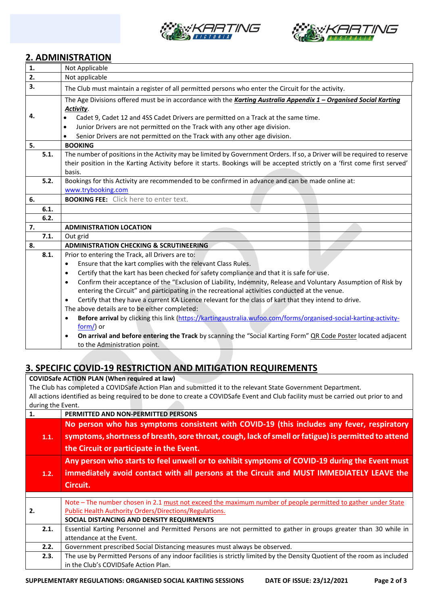



# **2. ADMINISTRATION**

| 1. |      | Not Applicable                                                                                                                 |  |  |  |
|----|------|--------------------------------------------------------------------------------------------------------------------------------|--|--|--|
| 2. |      | Not applicable                                                                                                                 |  |  |  |
| 3. |      | The Club must maintain a register of all permitted persons who enter the Circuit for the activity.                             |  |  |  |
|    |      | The Age Divisions offered must be in accordance with the Karting Australia Appendix 1 - Organised Social Karting<br>Activity.  |  |  |  |
| 4. |      | Cadet 9, Cadet 12 and 4SS Cadet Drivers are permitted on a Track at the same time.                                             |  |  |  |
|    |      | Junior Drivers are not permitted on the Track with any other age division.<br>$\bullet$                                        |  |  |  |
|    |      | Senior Drivers are not permitted on the Track with any other age division.                                                     |  |  |  |
| 5. |      | <b>BOOKING</b>                                                                                                                 |  |  |  |
|    | 5.1. | The number of positions in the Activity may be limited by Government Orders. If so, a Driver will be required to reserve       |  |  |  |
|    |      | their position in the Karting Activity before it starts. Bookings will be accepted strictly on a 'first come first served'     |  |  |  |
|    |      | basis.                                                                                                                         |  |  |  |
|    | 5.2. | Bookings for this Activity are recommended to be confirmed in advance and can be made online at:                               |  |  |  |
|    |      | www.trybooking.com                                                                                                             |  |  |  |
| 6. |      | <b>BOOKING FEE:</b> Click here to enter text.                                                                                  |  |  |  |
|    | 6.1. |                                                                                                                                |  |  |  |
|    | 6.2. |                                                                                                                                |  |  |  |
| 7. |      | <b>ADMINISTRATION LOCATION</b>                                                                                                 |  |  |  |
|    | 7.1. | Out grid                                                                                                                       |  |  |  |
| 8. |      | <b>ADMINISTRATION CHECKING &amp; SCRUTINEERING</b>                                                                             |  |  |  |
|    | 8.1. | Prior to entering the Track, all Drivers are to:                                                                               |  |  |  |
|    |      | Ensure that the kart complies with the relevant Class Rules.<br>$\bullet$                                                      |  |  |  |
|    |      | Certify that the kart has been checked for safety compliance and that it is safe for use.<br>$\bullet$                         |  |  |  |
|    |      | Confirm their acceptance of the "Exclusion of Liability, Indemnity, Release and Voluntary Assumption of Risk by<br>$\bullet$   |  |  |  |
|    |      | entering the Circuit" and participating in the recreational activities conducted at the venue.                                 |  |  |  |
|    |      | Certify that they have a current KA Licence relevant for the class of kart that they intend to drive.<br>$\bullet$             |  |  |  |
|    |      | The above details are to be either completed:                                                                                  |  |  |  |
|    |      | Before arrival by clicking this link (https://kartingaustralia.wufoo.com/forms/organised-social-karting-activity-<br>$\bullet$ |  |  |  |
|    |      | form/) or                                                                                                                      |  |  |  |
|    |      | On arrival and before entering the Track by scanning the "Social Karting Form" OR Code Poster located adjacent                 |  |  |  |
|    |      | to the Administration point.                                                                                                   |  |  |  |

## **3. SPECIFIC COVID-19 RESTRICTION AND MITIGATION REQUIREMENTS**

**COVIDSafe ACTION PLAN (When required at law)** The Club has completed a COVIDSafe Action Plan and submitted it to the relevant State Government Department. All actions identified as being required to be done to create a COVIDSafe Event and Club facility must be carried out prior to and during the Event. **1. PERMITTED AND NON-PERMITTED PERSONS**

| 1.1. | No person who has symptoms consistent with COVID-19 (this includes any fever, respiratory<br>symptoms, shortness of breath, sore throat, cough, lack of smell or fatigue) is permitted to attend<br>the Circuit or participate in the Event. |
|------|----------------------------------------------------------------------------------------------------------------------------------------------------------------------------------------------------------------------------------------------|
| 1.2. | Any person who starts to feel unwell or to exhibit symptoms of COVID-19 during the Event must<br>immediately avoid contact with all persons at the Circuit and MUST IMMEDIATELY LEAVE the<br>Circuit.                                        |
| 2.   | Note – The number chosen in 2.1 must not exceed the maximum number of people permitted to gather under State<br>Public Health Authority Orders/Directions/Regulations.                                                                       |
| 2.1. | SOCIAL DISTANCING AND DENSITY REQUIRMENTS<br>Essential Karting Personnel and Permitted Persons are not permitted to gather in groups greater than 30 while in<br>attendance at the Event.                                                    |
| 2.2. | Government prescribed Social Distancing measures must always be observed.                                                                                                                                                                    |
| 2.3. | The use by Permitted Persons of any indoor facilities is strictly limited by the Density Quotient of the room as included<br>in the Club's COVIDSafe Action Plan.                                                                            |